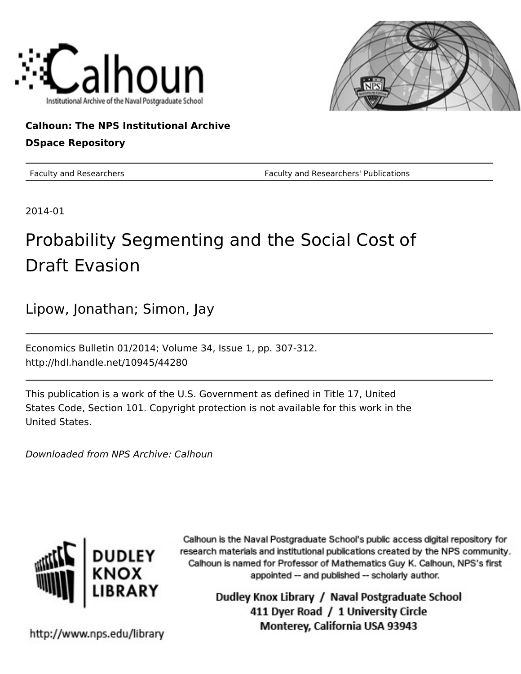



# **Calhoun: The NPS Institutional Archive DSpace Repository**

Faculty and Researchers Faculty and Researchers' Publications

2014-01

# Probability Segmenting and the Social Cost of Draft Evasion

Lipow, Jonathan; Simon, Jay

Economics Bulletin 01/2014; Volume 34, Issue 1, pp. 307-312. http://hdl.handle.net/10945/44280

This publication is a work of the U.S. Government as defined in Title 17, United States Code, Section 101. Copyright protection is not available for this work in the United States.

Downloaded from NPS Archive: Calhoun



Calhoun is the Naval Postgraduate School's public access digital repository for research materials and institutional publications created by the NPS community. Calhoun is named for Professor of Mathematics Guy K. Calhoun, NPS's first appointed -- and published -- scholarly author.

> Dudley Knox Library / Naval Postgraduate School 411 Dyer Road / 1 University Circle Monterey, California USA 93943

http://www.nps.edu/library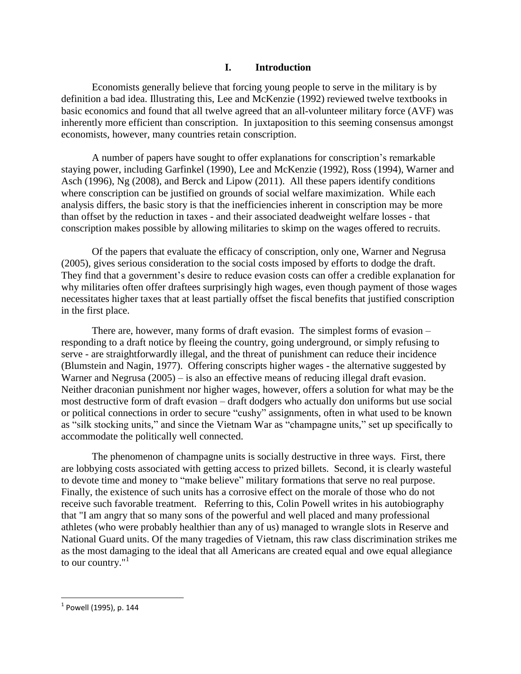## **I. Introduction**

Economists generally believe that forcing young people to serve in the military is by definition a bad idea. Illustrating this, Lee and McKenzie (1992) reviewed twelve textbooks in basic economics and found that all twelve agreed that an all-volunteer military force (AVF) was inherently more efficient than conscription. In juxtaposition to this seeming consensus amongst economists, however, many countries retain conscription.

A number of papers have sought to offer explanations for conscription's remarkable staying power, including Garfinkel (1990), Lee and McKenzie (1992), Ross (1994), Warner and Asch (1996), Ng (2008), and Berck and Lipow (2011). All these papers identify conditions where conscription can be justified on grounds of social welfare maximization. While each analysis differs, the basic story is that the inefficiencies inherent in conscription may be more than offset by the reduction in taxes - and their associated deadweight welfare losses - that conscription makes possible by allowing militaries to skimp on the wages offered to recruits.

Of the papers that evaluate the efficacy of conscription, only one, Warner and Negrusa (2005), gives serious consideration to the social costs imposed by efforts to dodge the draft. They find that a government's desire to reduce evasion costs can offer a credible explanation for why militaries often offer draftees surprisingly high wages, even though payment of those wages necessitates higher taxes that at least partially offset the fiscal benefits that justified conscription in the first place.

There are, however, many forms of draft evasion. The simplest forms of evasion – responding to a draft notice by fleeing the country, going underground, or simply refusing to serve - are straightforwardly illegal, and the threat of punishment can reduce their incidence (Blumstein and Nagin, 1977). Offering conscripts higher wages - the alternative suggested by Warner and Negrusa (2005) – is also an effective means of reducing illegal draft evasion. Neither draconian punishment nor higher wages, however, offers a solution for what may be the most destructive form of draft evasion – draft dodgers who actually don uniforms but use social or political connections in order to secure "cushy" assignments, often in what used to be known as "silk stocking units," and since the Vietnam War as "champagne units," set up specifically to accommodate the politically well connected.

The phenomenon of champagne units is socially destructive in three ways. First, there are lobbying costs associated with getting access to prized billets. Second, it is clearly wasteful to devote time and money to "make believe" military formations that serve no real purpose. Finally, the existence of such units has a corrosive effect on the morale of those who do not receive such favorable treatment. Referring to this, Colin Powell writes in his autobiography that "I am angry that so many sons of the powerful and well placed and many professional athletes (who were probably healthier than any of us) managed to wrangle slots in Reserve and National Guard units. Of the many tragedies of Vietnam, this raw class discrimination strikes me as the most damaging to the ideal that all Americans are created equal and owe equal allegiance to our country." $1$ 

 $\overline{\phantom{a}}$ 

 $^{\rm 1}$  Powell (1995), p. 144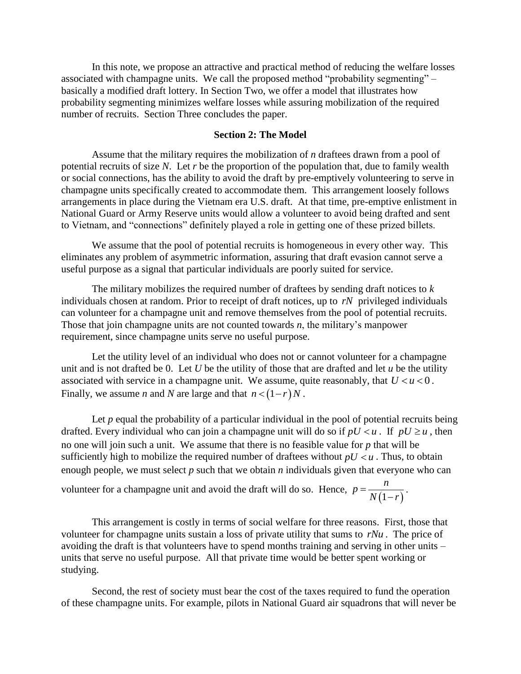In this note, we propose an attractive and practical method of reducing the welfare losses associated with champagne units. We call the proposed method "probability segmenting" – basically a modified draft lottery. In Section Two, we offer a model that illustrates how probability segmenting minimizes welfare losses while assuring mobilization of the required number of recruits. Section Three concludes the paper.

#### **Section 2: The Model**

Assume that the military requires the mobilization of *n* draftees drawn from a pool of potential recruits of size *N*. Let *r* be the proportion of the population that, due to family wealth or social connections, has the ability to avoid the draft by pre-emptively volunteering to serve in champagne units specifically created to accommodate them. This arrangement loosely follows arrangements in place during the Vietnam era U.S. draft. At that time, pre-emptive enlistment in National Guard or Army Reserve units would allow a volunteer to avoid being drafted and sent to Vietnam, and "connections" definitely played a role in getting one of these prized billets.

We assume that the pool of potential recruits is homogeneous in every other way. This eliminates any problem of asymmetric information, assuring that draft evasion cannot serve a useful purpose as a signal that particular individuals are poorly suited for service.

The military mobilizes the required number of draftees by sending draft notices to *k* individuals chosen at random. Prior to receipt of draft notices, up to *rN* privileged individuals can volunteer for a champagne unit and remove themselves from the pool of potential recruits. Those that join champagne units are not counted towards *n*, the military's manpower requirement, since champagne units serve no useful purpose.

Let the utility level of an individual who does not or cannot volunteer for a champagne unit and is not drafted be 0. Let  $U$  be the utility of those that are drafted and let  $u$  be the utility associated with service in a champagne unit. We assume, quite reasonably, that  $U < u < 0$ . Finally, we assume *n* and *N* are large and that  $n < (1 - r)N$ .

Let *p* equal the probability of a particular individual in the pool of potential recruits being drafted. Every individual who can join a champagne unit will do so if  $pU \le u$ . If  $pU \ge u$ , then no one will join such a unit. We assume that there is no feasible value for *p* that will be sufficiently high to mobilize the required number of draftees without  $pU \le u$ . Thus, to obtain enough people, we must select *p* such that we obtain *n* individuals given that everyone who can  $p = \frac{n}{\sqrt{a}}$ 

volunteer for a champagne unit and avoid the draft will do so. Hence,  $(1-r)$  $N(1 - r)$  $=$  $\overline{a}$ *.*

This arrangement is costly in terms of social welfare for three reasons. First, those that volunteer for champagne units sustain a loss of private utility that sums to *rNu* . The price of avoiding the draft is that volunteers have to spend months training and serving in other units – units that serve no useful purpose. All that private time would be better spent working or studying.

Second, the rest of society must bear the cost of the taxes required to fund the operation of these champagne units. For example, pilots in National Guard air squadrons that will never be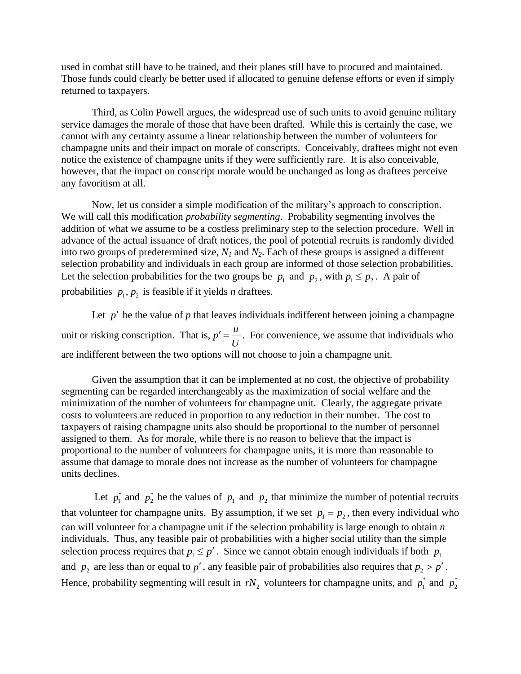used in combat still have to be trained, and their planes still have to procured and maintained. Those funds could clearly be better used if allocated to genuine defense efforts or even if simply returned to taxpayers.

Third, as Colin Powell argues, the widespread use of such units to avoid genuine military service damages the morale of those that have been drafted. While this is certainly the case, we cannot with any certainty assume a linear relationship between the number of volunteers for champagne units and their impact on morale of conscripts. Conceivably, draftees might not even notice the existence of champagne units if they were sufficiently rare. It is also conceivable, however, that the impact on conscript morale would be unchanged as long as draftees perceive any favoritism at all.

Now, let us consider a simple modification of the military's approach to conscription. We will call this modification *probability segmenting*. Probability segmenting involves the addition of what we assume to be a costless preliminary step to the selection procedure. Well in advance of the actual issuance of draft notices, the pool of potential recruits is randomly divided into two groups of predetermined size, *N<sup>1</sup>* and *N2*. Each of these groups is assigned a different selection probability and individuals in each group are informed of those selection probabilities. Let the selection probabilities for the two groups be  $p_1$  and  $p_2$ , with  $p_1 \leq p_2$ . A pair of probabilities  $p_1, p_2$  is feasible if it yields *n* draftees.

Let  $p'$  be the value of  $p$  that leaves individuals indifferent between joining a champagne unit or risking conscription. That is,  $p' = \frac{u}{x}$ *U*  $\mu' = \frac{u}{\epsilon}$ . For convenience, we assume that individuals who are indifferent between the two options will not choose to join a champagne unit.

Given the assumption that it can be implemented at no cost, the objective of probability segmenting can be regarded interchangeably as the maximization of social welfare and the minimization of the number of volunteers for champagne unit. Clearly, the aggregate private costs to volunteers are reduced in proportion to any reduction in their number. The cost to taxpayers of raising champagne units also should be proportional to the number of personnel assigned to them. As for morale, while there is no reason to believe that the impact is proportional to the number of volunteers for champagne units, it is more than reasonable to assume that damage to morale does not increase as the number of volunteers for champagne units declines.

Let  $p_1^*$  and  $p_2^*$  be the values of  $p_1$  and  $p_2$  that minimize the number of potential recruits that volunteer for champagne units. By assumption, if we set  $p_1 = p_2$ , then every individual who can will volunteer for a champagne unit if the selection probability is large enough to obtain *n*  individuals. Thus, any feasible pair of probabilities with a higher social utility than the simple selection process requires that  $p_1 \leq p'$ . Since we cannot obtain enough individuals if both  $p_1$ and  $p_2$  are less than or equal to p', any feasible pair of probabilities also requires that  $p_2 > p'$ . Hence, probability segmenting will result in  $rN_2$  volunteers for champagne units, and  $p_1^*$  and  $p_2^*$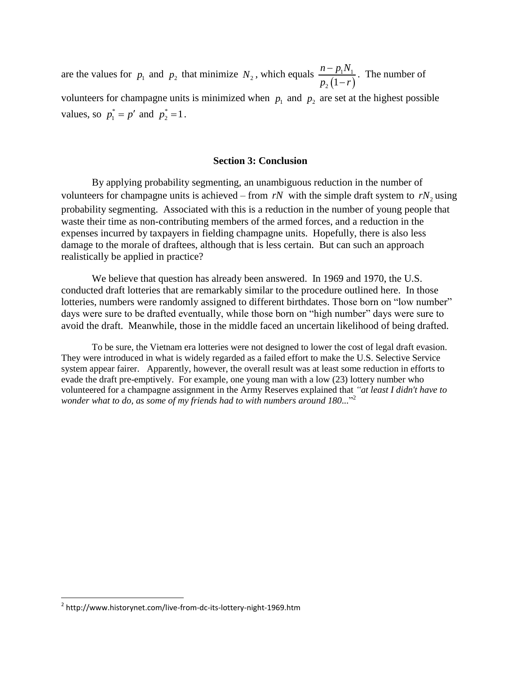are the values for  $p_1$  and  $p_2$  that minimize  $N_2$ , which equals  $(1-r)$  $1^{\prime}$   $1^{\prime}$  $_{2}$   $(1)$  $n - p_1 N$  $p, (1 - r)$  $\overline{a}$  $\overline{a}$ . The number of volunteers for champagne units is minimized when  $p_1$  and  $p_2$  are set at the highest possible values, so  $p_1^* = p'$  and  $p_2^* = 1$ .

### **Section 3: Conclusion**

By applying probability segmenting, an unambiguous reduction in the number of volunteers for champagne units is achieved – from  $rN$  with the simple draft system to  $rN_2$  using probability segmenting. Associated with this is a reduction in the number of young people that waste their time as non-contributing members of the armed forces, and a reduction in the expenses incurred by taxpayers in fielding champagne units. Hopefully, there is also less damage to the morale of draftees, although that is less certain. But can such an approach realistically be applied in practice?

We believe that question has already been answered. In 1969 and 1970, the U.S. conducted draft lotteries that are remarkably similar to the procedure outlined here. In those lotteries, numbers were randomly assigned to different birthdates. Those born on "low number" days were sure to be drafted eventually, while those born on "high number" days were sure to avoid the draft. Meanwhile, those in the middle faced an uncertain likelihood of being drafted.

To be sure, the Vietnam era lotteries were not designed to lower the cost of legal draft evasion. They were introduced in what is widely regarded as a failed effort to make the U.S. Selective Service system appear fairer. Apparently, however, the overall result was at least some reduction in efforts to evade the draft pre-emptively. For example, one young man with a low (23) lottery number who volunteered for a champagne assignment in the Army Reserves explained that *"at least I didn't have to wonder what to do, as some of my friends had to with numbers around 180...*" 2

 $\overline{\phantom{a}}$ 

<sup>&</sup>lt;sup>2</sup> http://www.historynet.com/live-from-dc-its-lottery-night-1969.htm